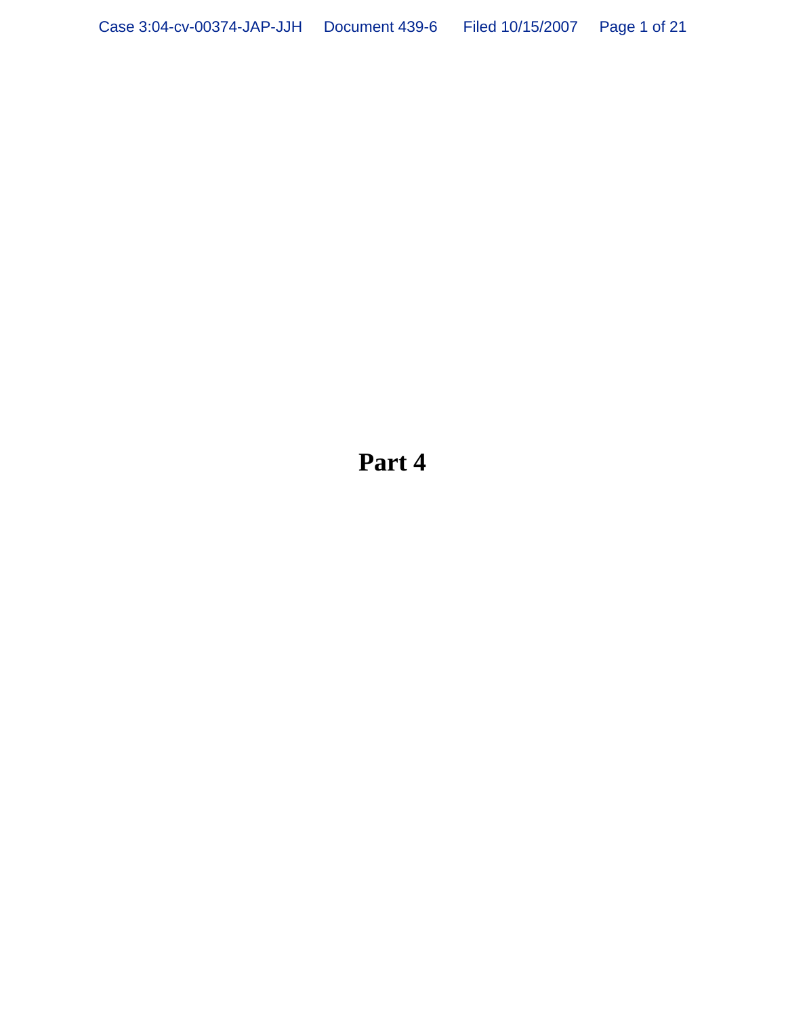**Part 4**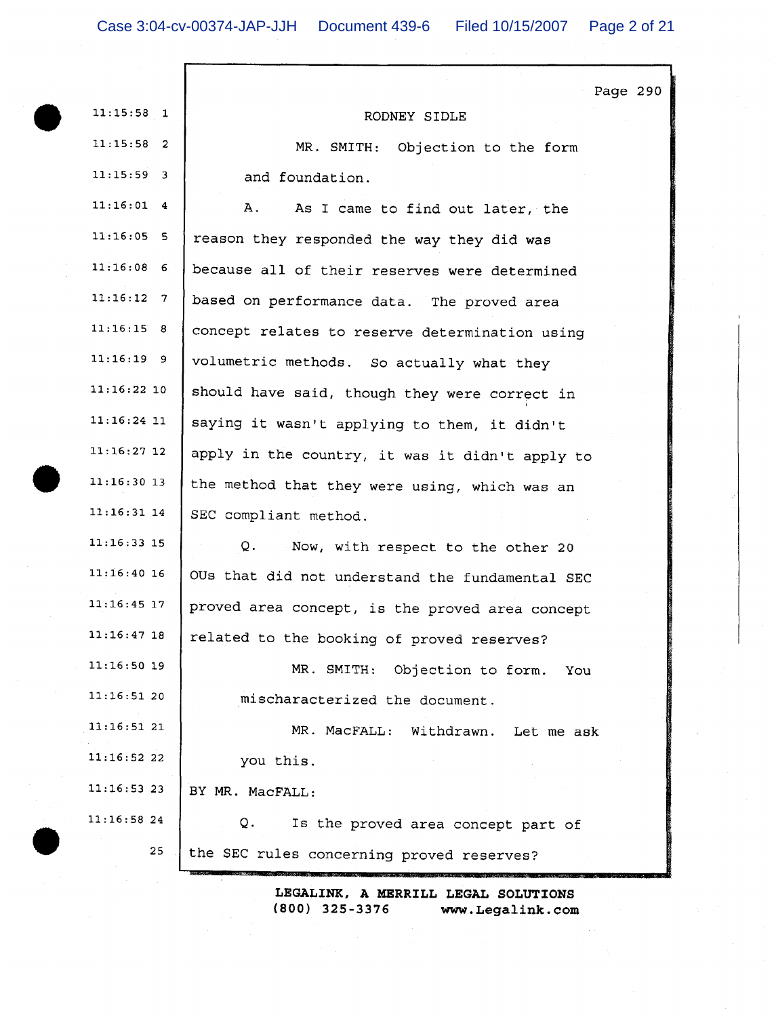|               |                                                 | Page 290 |  |
|---------------|-------------------------------------------------|----------|--|
| $11:15:58$ 1  | RODNEY SIDLE                                    |          |  |
| $11:15:58$ 2  | MR. SMITH: Objection to the form                |          |  |
| $11:15:59$ 3  | and foundation.                                 |          |  |
| $11:16:01$ 4  | A.<br>As I came to find out later, the          |          |  |
| $11:16:05$ 5  | reason they responded the way they did was      |          |  |
| $11:16:08$ 6  | because all of their reserves were determined   |          |  |
| $11:16:12$ 7  | based on performance data. The proved area      |          |  |
| 11:16:15 8    | concept relates to reserve determination using  |          |  |
| $11:16:19$ 9  | volumetric methods. So actually what they       |          |  |
| $11:16:22$ 10 | should have said, though they were correct in   |          |  |
| $11:16:24$ 11 | saying it wasn't applying to them, it didn't    |          |  |
| $11:16:27$ 12 | apply in the country, it was it didn't apply to |          |  |
| $11:16:30$ 13 | the method that they were using, which was an   |          |  |
| $11:16:31$ 14 | SEC compliant method.                           |          |  |
| $11:16:33$ 15 | Q.<br>Now, with respect to the other 20         |          |  |
| $11:16:40$ 16 | OUs that did not understand the fundamental SEC |          |  |
| $11:16:45$ 17 | proved area concept, is the proved area concept |          |  |
| 11:16:47 18   | related to the booking of proved reserves?      |          |  |
| $11:16:50$ 19 | MR. SMITH: Objection to form.<br>You            |          |  |
| 11:16:5120    | mischaracterized the document.                  |          |  |
| 11:16:5121    | MR. MacFALL:<br>Withdrawn. Let me ask           |          |  |
| 11:16:5222    | you this.                                       |          |  |
| $11:16:53$ 23 | BY MR. MacFALL:                                 |          |  |
| 11:16:5824    | Q.<br>Is the proved area concept part of        |          |  |
| 25            | the SEC rules concerning proved reserves?       |          |  |
|               |                                                 |          |  |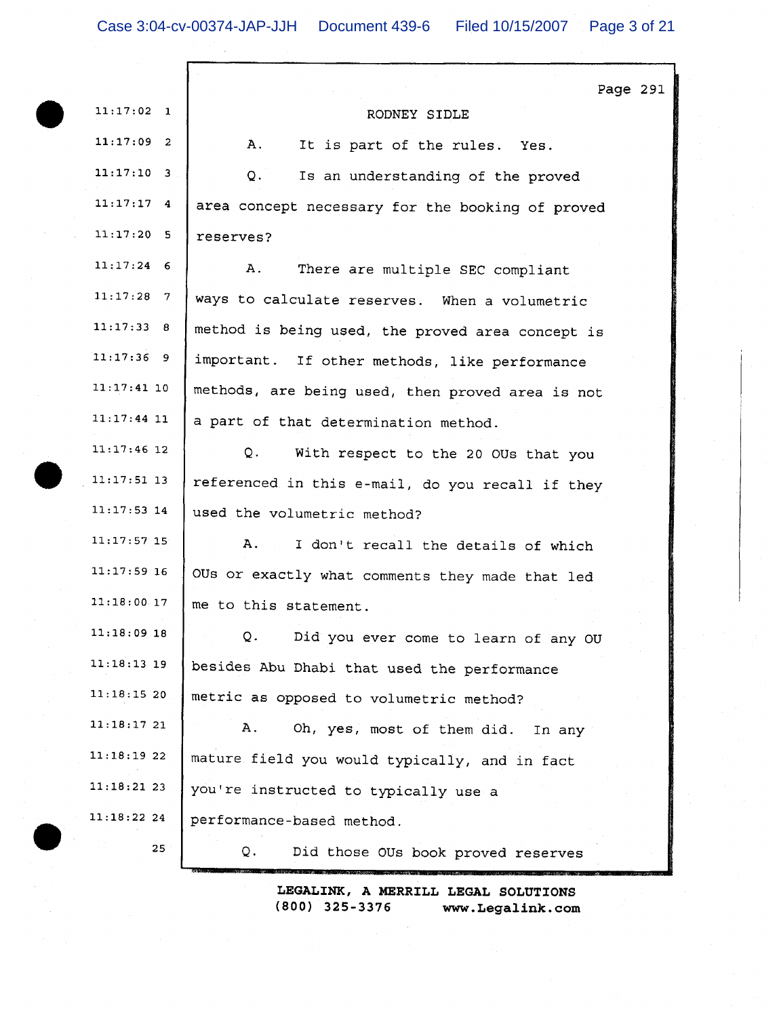$\mathsf{r}$ 

|               | Page 291                                         |
|---------------|--------------------------------------------------|
| $11:17:02$ 1  | RODNEY SIDLE                                     |
| $11:17:09$ 2  | Α.<br>It is part of the rules. Yes.              |
| $11:17:10$ 3  | Q.<br>Is an understanding of the proved          |
| $11:17:17$ 4  | area concept necessary for the booking of proved |
| $11:17:20$ 5  | reserves?                                        |
| $11:17:24$ 6  | Α.<br>There are multiple SEC compliant           |
| $11:17:28$ 7  | ways to calculate reserves. When a volumetric    |
| 11:17:33 8    | method is being used, the proved area concept is |
| $11:17:36$ 9  | important. If other methods, like performance    |
| $11:17:41$ 10 | methods, are being used, then proved area is not |
| $11:17:44$ 11 | a part of that determination method.             |
| $11:17:46$ 12 | Q.<br>With respect to the 20 OUs that you        |
| $11:17:51$ 13 | referenced in this e-mail, do you recall if they |
| $11:17:53$ 14 | used the volumetric method?                      |
| $11:17:57$ 15 | A.<br>I don't recall the details of which        |
| 11:17:59 16   | OUs or exactly what comments they made that led  |
| 11:18:00.17   | me to this statement.                            |
| 11:18:09 18   | Q.<br>Did you ever come to learn of any OU       |
| $11:18:13$ 19 | besides Abu Dhabi that used the performance      |
| 11:18:1520    | metric as opposed to volumetric method?          |
| 11:18:17 21   | Α.<br>Oh, yes, most of them did. In any          |
| 11:18:1922    | mature field you would typically, and in fact    |
| 11:18:2123    | you're instructed to typically use a             |
| 11:18:22 24   | performance-based method.                        |
| 25            | Q.<br>Did those OUs book proved reserves         |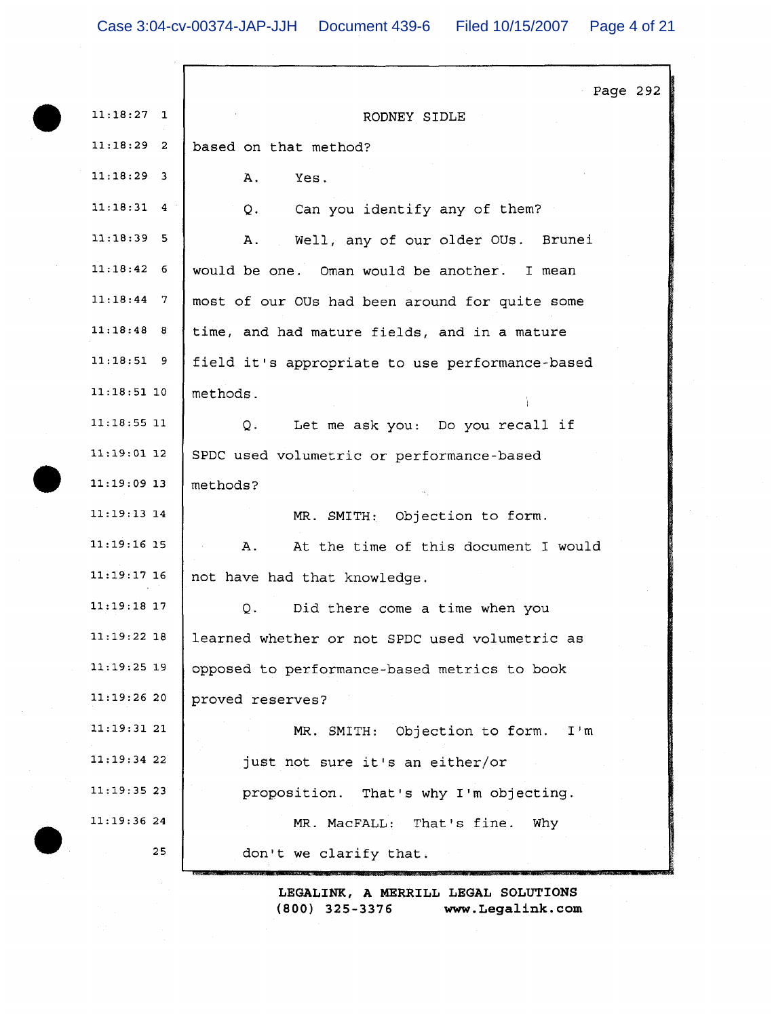|               | Page 292                                        |
|---------------|-------------------------------------------------|
| $11:18:27$ 1  | RODNEY SIDLE                                    |
| $11:18:29$ 2  | based on that method?                           |
| $11:18:29$ 3  | Yes.<br>Α.                                      |
| $11:18:31$ 4  | Can you identify any of them?<br>Q.             |
| $11:18:39$ 5  | A.<br>Well, any of our older OUs. Brunei        |
| $11:18:42$ 6  | would be one. Oman would be another. I mean     |
| $11:18:44$ 7  | most of our OUs had been around for quite some  |
| $11:18:48$ 8  | time, and had mature fields, and in a mature    |
| $11:18:51$ 9  | field it's appropriate to use performance-based |
| $11:18:51$ 10 | methods.                                        |
| $11:18:55$ 11 | Let me ask you: Do you recall if<br>Q.          |
| 11:19:01 12   | SPDC used volumetric or performance-based       |
| 11:19:09 13   | methods?                                        |
| $11:19:13$ 14 | MR. SMITH: Objection to form.                   |
| $11:19:16$ 15 | At the time of this document I would<br>Α.      |
| $11:19:17$ 16 | not have had that knowledge.                    |
| $11:19:18$ 17 | Did there come a time when you<br>Q.            |
| $11:19:22$ 18 | learned whether or not SPDC used volumetric as  |
| 11:19:25 19   | opposed to performance-based metrics to book    |
| 11:19:2620    | proved reserves?                                |
| 11:19:31 21   | MR. SMITH: Objection to form. I'm               |
| $11:19:34$ 22 | just not sure it's an either/or                 |
| 11:19:3523    | proposition. That's why I'm objecting.          |
| 11:19:3624    | MR. MacFALL: That's fine.<br>Why                |
| 25            | don't we clarify that.                          |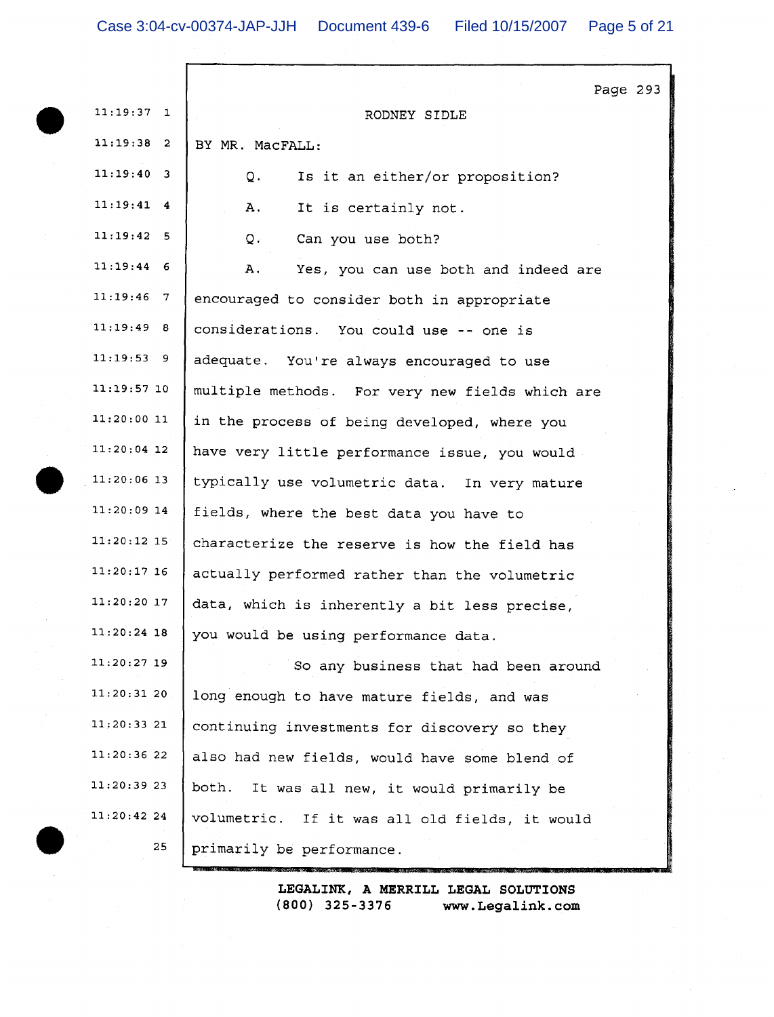|               | Page 293                                        |
|---------------|-------------------------------------------------|
| $11:19:37$ 1  | RODNEY SIDLE                                    |
| $11:19:38$ 2  | BY MR. MacFALL:                                 |
| $11:19:40$ 3  | Is it an either/or proposition?<br>Q.           |
| $11:19:41$ 4  | It is certainly not.<br>Α.                      |
| $11:19:42$ 5  | Can you use both?<br>$Q_{\star}$                |
| $11:19:44$ 6  | Α.<br>Yes, you can use both and indeed are      |
| $11:19:46$ 7  | encouraged to consider both in appropriate      |
| 11:19:49 8    | considerations. You could use -- one is         |
| $11:19:53$ 9  | adequate. You're always encouraged to use       |
| 11:19:57 10   | multiple methods. For very new fields which are |
| $11:20:00$ 11 | in the process of being developed, where you    |
| $11:20:04$ 12 | have very little performance issue, you would   |
| $11:20:06$ 13 | typically use volumetric data. In very mature   |
| $11:20:09$ 14 | fields, where the best data you have to         |
| $11:20:12$ 15 | characterize the reserve is how the field has   |
| $11:20:17$ 16 | actually performed rather than the volumetric   |
| 11:20:20 17   | data, which is inherently a bit less precise,   |
| $11:20:24$ 18 | you would be using performance data.            |
| $11:20:27$ 19 | So any business that had been around            |
| $11:20:31$ 20 | long enough to have mature fields, and was      |
| $11:20:33$ 21 | continuing investments for discovery so they    |
| $11:20:36$ 22 | also had new fields, would have some blend of   |
| 11:20:39 23   | both.<br>It was all new, it would primarily be  |
| 11:20:42 24   | volumetric. If it was all old fields, it would  |
| 25            | primarily be performance.                       |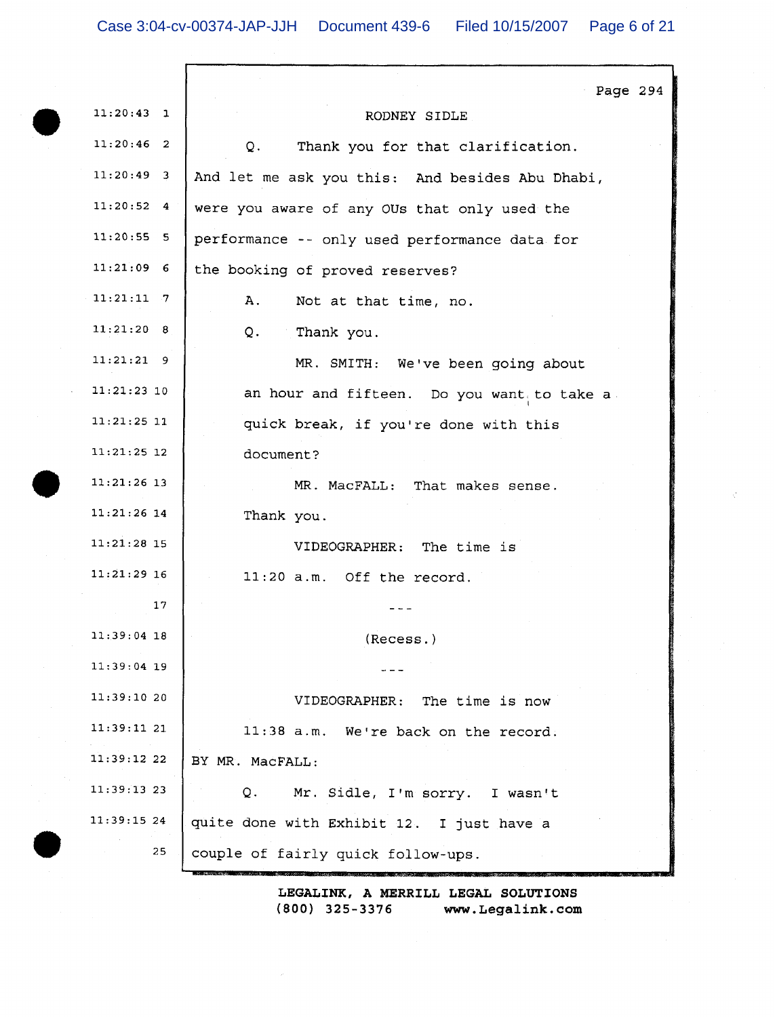|               | Page 294                                        |
|---------------|-------------------------------------------------|
| $11:20:43$ 1  | RODNEY SIDLE                                    |
| $11:20:46$ 2  | Thank you for that clarification.<br>Q.         |
| $11:20:49$ 3  | And let me ask you this: And besides Abu Dhabi, |
| $11:20:52$ 4  | were you aware of any OUs that only used the    |
| $11:20:55$ 5  | performance -- only used performance data for   |
| $11:21:09$ 6  | the booking of proved reserves?                 |
| $11:21:11$ 7  | Α.<br>Not at that time, no.                     |
| 11:21:20 8    | Q.<br>Thank you.                                |
| $11:21:21$ 9  | MR. SMITH: We've been going about               |
| $11:21:23$ 10 | an hour and fifteen. Do you want to take a      |
| $11:21:25$ 11 | quick break, if you're done with this           |
| $11:21:25$ 12 | document?                                       |
| $11:21:26$ 13 | MR. MacFALL: That makes sense.                  |
| $11:21:26$ 14 | Thank you.                                      |
| $11:21:28$ 15 | VIDEOGRAPHER: The time is                       |
| $11:21:29$ 16 | 11:20 a.m. Off the record.                      |
| 17            |                                                 |
| $11:39:04$ 18 | (Recess.)                                       |
| $11:39:04$ 19 |                                                 |
| 11:39:10 20   | VIDEOGRAPHER: The time is now                   |
| 11:39:1121    | 11:38 a.m. We're back on the record.            |
| 11:39:12 22   | BY MR. MacFALL:                                 |
| $11:39:13$ 23 | Q.<br>Mr. Sidle, I'm sorry. I wasn't            |
| 11:39:15 24   | quite done with Exhibit 12. I just have a       |
| 25            | couple of fairly quick follow-ups.              |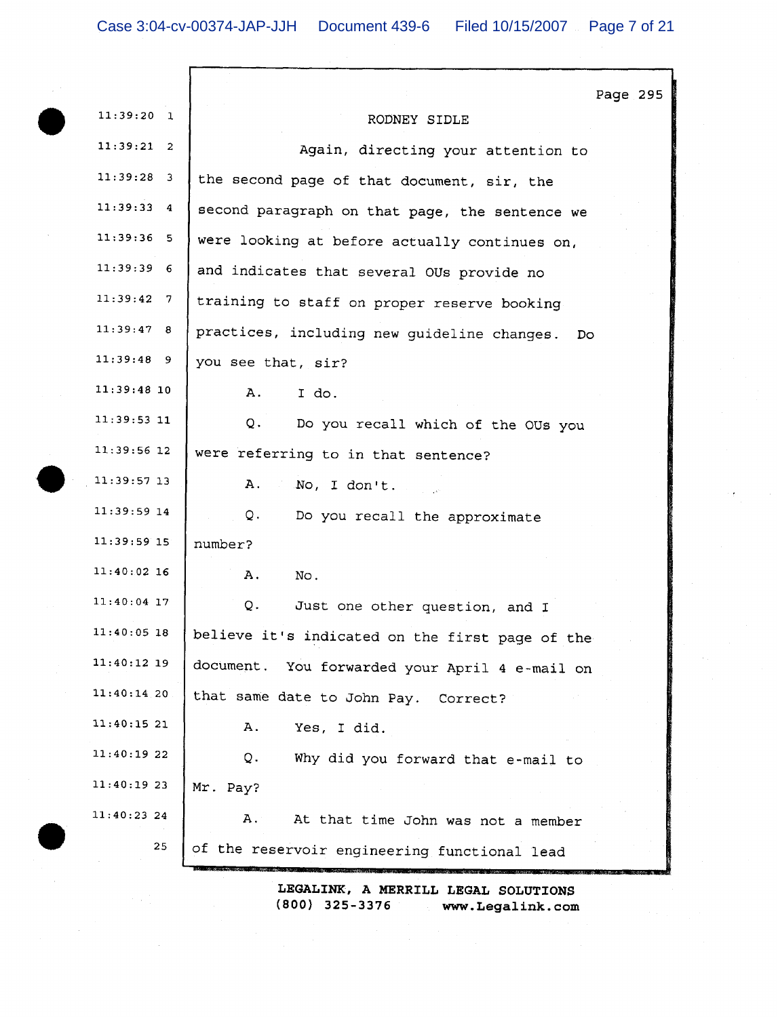|               | Page 295                                        |
|---------------|-------------------------------------------------|
| $11:39:20$ 1  | RODNEY SIDLE                                    |
| $11:39:21$ 2  | Again, directing your attention to              |
| $11:39:28$ 3  | the second page of that document, sir, the      |
| 11:39:334     | second paragraph on that page, the sentence we  |
| $11:39:36$ 5  | were looking at before actually continues on,   |
| 11:39:396     | and indicates that several OUs provide no       |
| $11:39:42$ 7  | training to staff on proper reserve booking     |
| 11:39:47 8    | practices, including new guideline changes. Do  |
| $11:39:48$ 9  | you see that, sir?                              |
| $11:39:48$ 10 | Α.<br>I do.                                     |
| $11:39:53$ 11 | Q.<br>Do you recall which of the OUs you        |
| 11:39:56 12   | were referring to in that sentence?             |
| 11:39:57 13   | Α.<br>No, I don't.                              |
| 11:39:59 14   | Q.<br>Do you recall the approximate             |
| $11:39:59$ 15 | number?                                         |
| $11:40:02$ 16 | Α.<br>No.                                       |
| $11:40:04$ 17 | Q.<br>Just one other question, and I            |
| $11:40:05$ 18 | believe it's indicated on the first page of the |
| 11:40:12 19   | document. You forwarded your April 4 e-mail on  |
| $11:40:14$ 20 | that same date to John Pay. Correct?            |
| 11:40:15 21   | Α.<br>Yes, I did.                               |
| 11:40:19 22   | Q.<br>Why did you forward that e-mail to        |
| 11:40:19 23   | Mr. Pay?                                        |
| 11:40:23 24   | Α.<br>At that time John was not a member        |
| 25            | of the reservoir engineering functional lead    |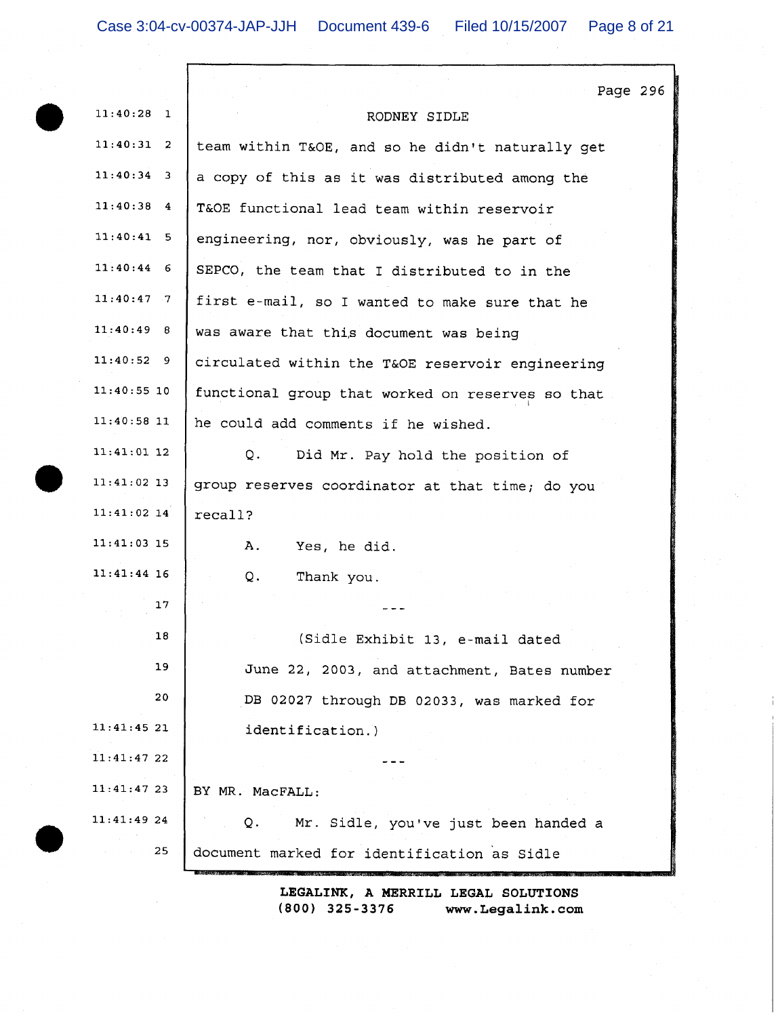| $11:40:28$ 1  | Page 296<br>RODNEY SIDLE                         |
|---------------|--------------------------------------------------|
| $11:40:31$ 2  | team within T&OE, and so he didn't naturally get |
| $11:40:34$ 3  | a copy of this as it was distributed among the   |
| $11:40:38$ 4  | T&OE functional lead team within reservoir       |
| $11:40:41$ 5  | engineering, nor, obviously, was he part of      |
| $11:40:44$ 6  |                                                  |
|               | SEPCO, the team that I distributed to in the     |
| $11:40:47$ 7  | first e-mail, so I wanted to make sure that he   |
| 11:40:49 8    | was aware that this document was being           |
| $11:40:52$ 9  | circulated within the T&OE reservoir engineering |
| $11:40:55$ 10 | functional group that worked on reserves so that |
| $11:40:58$ 11 | he could add comments if he wished.              |
| $11:41:01$ 12 | Did Mr. Pay hold the position of<br>Q.           |
| $11:41:02$ 13 | group reserves coordinator at that time; do you  |
| $11:41:02$ 14 | recall?                                          |
| $11:41:03$ 15 | Α.<br>Yes, he did.                               |
| $11:41:44$ 16 | Q.<br>Thank you.                                 |
| 17            |                                                  |
| 18            | (Sidle Exhibit 13, e-mail dated                  |
| 19            | June 22, 2003, and attachment, Bates number      |
| 20            | DB 02027 through DB 02033, was marked for        |
| 11:41:45 21   | identification.)                                 |
| $11:41:47$ 22 |                                                  |
| $11:41:47$ 23 | BY MR. MacFALL:                                  |
| $11:41:49$ 24 | Mr. Sidle, you've just been handed a<br>Q.       |
| 25            | document marked for identification as Sidle      |
|               |                                                  |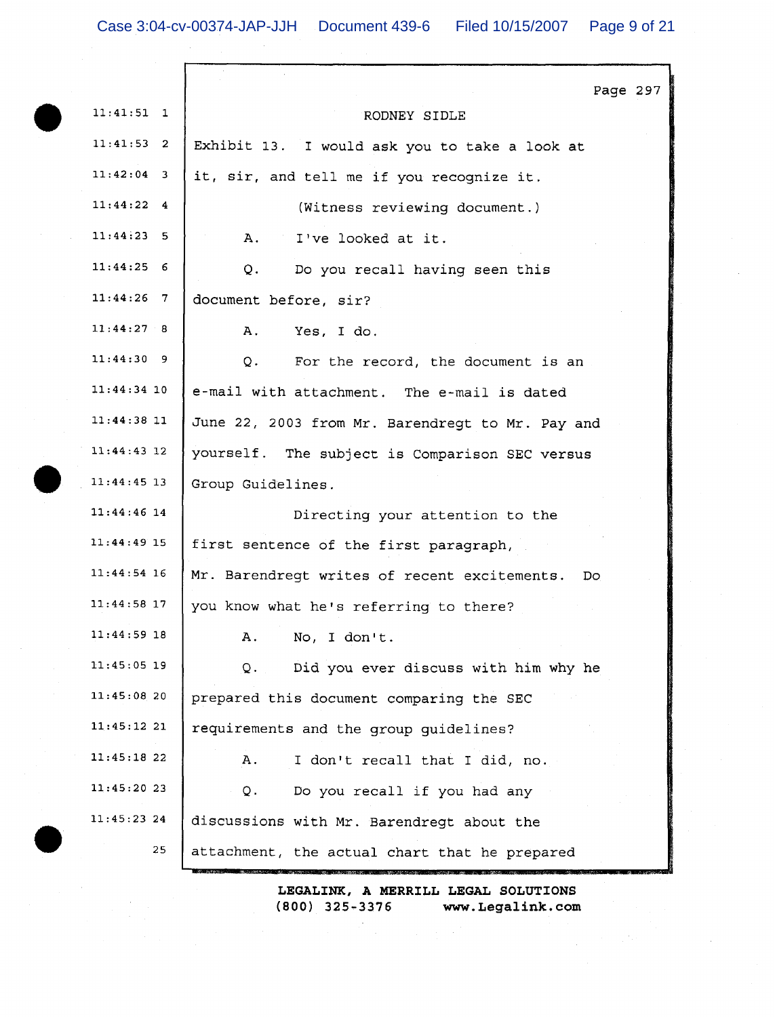| $11:41:51$ 1  | Page 297<br>RODNEY SIDLE                            |
|---------------|-----------------------------------------------------|
| $11:41:53$ 2  | Exhibit 13. I would ask you to take a look at       |
| $11:42:04$ 3  | it, sir, and tell me if you recognize it.           |
| $11:44:22$ 4  | (Witness reviewing document.)                       |
| 11:44:23:5    | A. I've looked at it.                               |
| 11:44:25 6    | Q.<br>Do you recall having seen this                |
| $11:44:26$ 7  | document before, sir?                               |
| 11:44:27 8    | Yes, I do.<br>Α.                                    |
| $11:44:30$ 9  | Q.<br>For the record, the document is an            |
| $11:44:34$ 10 | e-mail with attachment. The e-mail is dated         |
| $11:44:38$ 11 | June 22, 2003 from Mr. Barendregt to Mr. Pay and    |
| $11:44:43$ 12 | yourself. The subject is Comparison SEC versus      |
| $11:44:45$ 13 | Group Guidelines.                                   |
| $11:44:46$ 14 | Directing your attention to the                     |
| 11:44:49 15   | first sentence of the first paragraph,              |
| $11:44:54$ 16 | Mr. Barendregt writes of recent excitements.<br>Do  |
| 11:44:58 17   | you know what he's referring to there?              |
| $11:44:59$ 18 | No, I don't.<br>A.                                  |
| $11:45:05$ 19 | Did you ever discuss with him why he<br>$Q_{\star}$ |
| $11:45:08$ 20 | prepared this document comparing the SEC            |
| 11:45:1221    | requirements and the group quidelines?              |
| 11:45:1822    | I don't recall that I did, no.<br>Α.                |
| 11:45:2023    | Do you recall if you had any<br>Q.                  |
| 11:45:23 24   | discussions with Mr. Barendregt about the           |
| 25            | attachment, the actual chart that he prepared       |

 $\sim$   $\sim$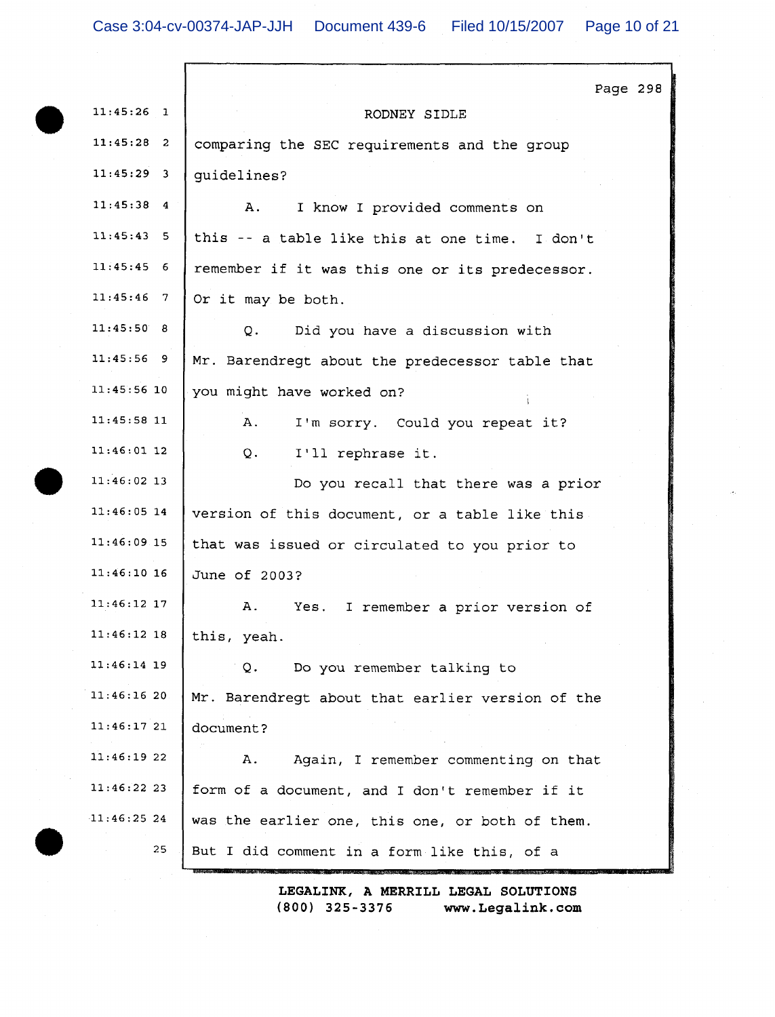|               | Page 298                                         |
|---------------|--------------------------------------------------|
| $11:45:26$ 1  | RODNEY SIDLE                                     |
| $11:45:28$ 2  | comparing the SEC requirements and the group     |
| $11:45:29$ 3  | guidelines?                                      |
| $11:45:38$ 4  | Α.<br>I know I provided comments on              |
| $11:45:43$ 5  | this -- a table like this at one time. I don't   |
| $11:45:45$ 6  | remember if it was this one or its predecessor.  |
| $11:45:46$ 7  | Or it may be both.                               |
| 11:45:50 8    | Did you have a discussion with<br>Q.             |
| $11:45:56$ 9  | Mr. Barendregt about the predecessor table that  |
| $11:45:56$ 10 | you might have worked on?                        |
| 11:45:58 11   | I'm sorry. Could you repeat it?<br>Α.            |
| $11:46:01$ 12 | Q.<br>I'll rephrase it.                          |
| $11:46:02$ 13 | Do you recall that there was a prior             |
| 11:46:05 14   | version of this document, or a table like this   |
| 11:46:09.15   | that was issued or circulated to you prior to    |
| $11:46:10$ 16 | June of 2003?                                    |
| 11:46:12 17   | А.<br>Yes. I remember a prior version of         |
| 11:46:12 18   | this, yeah.                                      |
| $11:46:14$ 19 | Do you remember talking to<br>Q.                 |
| 11:46:1620    | Mr. Barendregt about that earlier version of the |
| 11:46:1721    | document?                                        |
| 11:46:1922    | Again, I remember commenting on that<br>Α.       |
| 11:46:2223    | form of a document, and I don't remember if it   |
| 11:46:25 24   | was the earlier one, this one, or both of them.  |
| 25            | But I did comment in a form like this, of a      |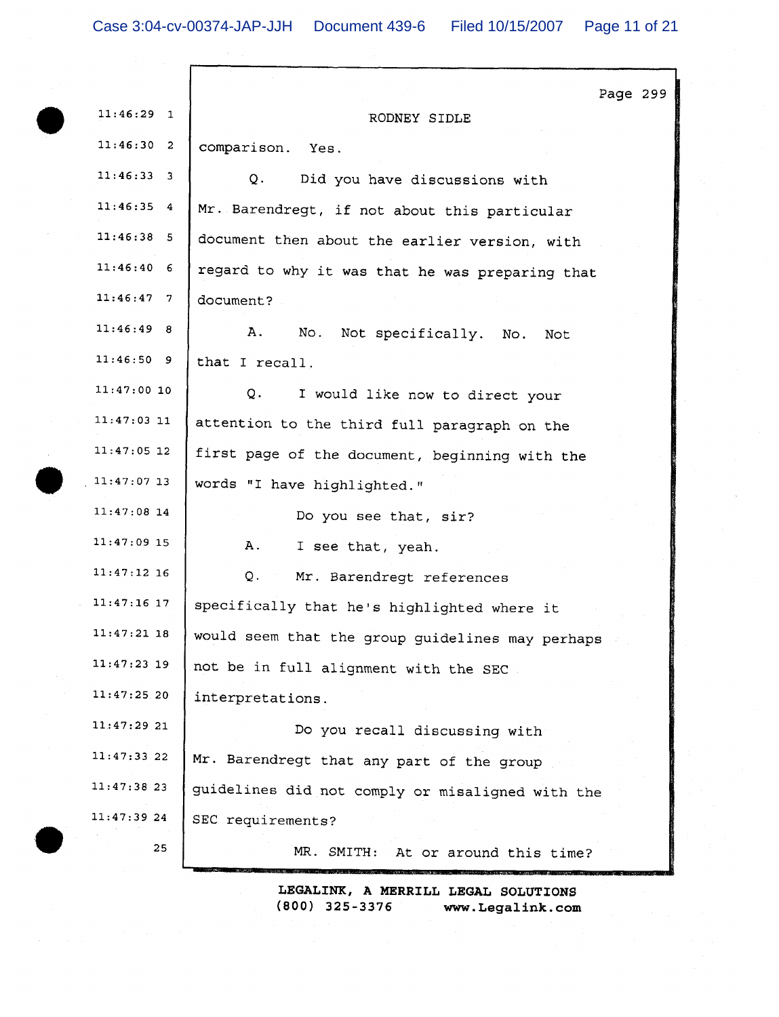| $11:46:29$ 1  | RODNEY SIDLE                                     | Page 299 |  |
|---------------|--------------------------------------------------|----------|--|
| 11:46:30 2    | comparison. Yes.                                 |          |  |
| $11:46:33$ 3  | Q.<br>Did you have discussions with              |          |  |
| $11:46:35$ 4  | Mr. Barendregt, if not about this particular     |          |  |
| $11:46:38$ 5  | document then about the earlier version, with    |          |  |
| $11:46:40$ 6  | regard to why it was that he was preparing that  |          |  |
| $11:46:47$ 7  | document?                                        |          |  |
| 11:46:49 8    | А.<br>No. Not specifically. No.<br>Not           |          |  |
| $11:46:50$ 9  | that I recall.                                   |          |  |
| $11:47:00$ 10 | Q.<br>I would like now to direct your            |          |  |
| $11:47:03$ 11 | attention to the third full paragraph on the     |          |  |
| $11:47:05$ 12 | first page of the document, beginning with the   |          |  |
| 11:47:07 13   | words "I have highlighted."                      |          |  |
| $11:47:08$ 14 | Do you see that, sir?                            |          |  |
| $11:47:09$ 15 | А.<br>I see that, yeah.                          |          |  |
| $11:47:12$ 16 | $Q_+$ .<br>Mr. Barendregt references             |          |  |
| $11:47:16$ 17 | specifically that he's highlighted where it      |          |  |
| $11:47:21$ 18 | would seem that the group guidelines may perhaps |          |  |
| $11:47:23$ 19 | not be in full alignment with the SEC.           |          |  |
| 11:47:25.20   | interpretations.                                 |          |  |
| 11:47:29 21   | Do you recall discussing with                    |          |  |
| $11:47:33$ 22 | Mr. Barendregt that any part of the group        |          |  |
| $11:47:38$ 23 | guidelines did not comply or misaligned with the |          |  |
| 11:47:3924    | SEC requirements?                                |          |  |
| 25            | MR. SMITH:<br>At or around this time?            |          |  |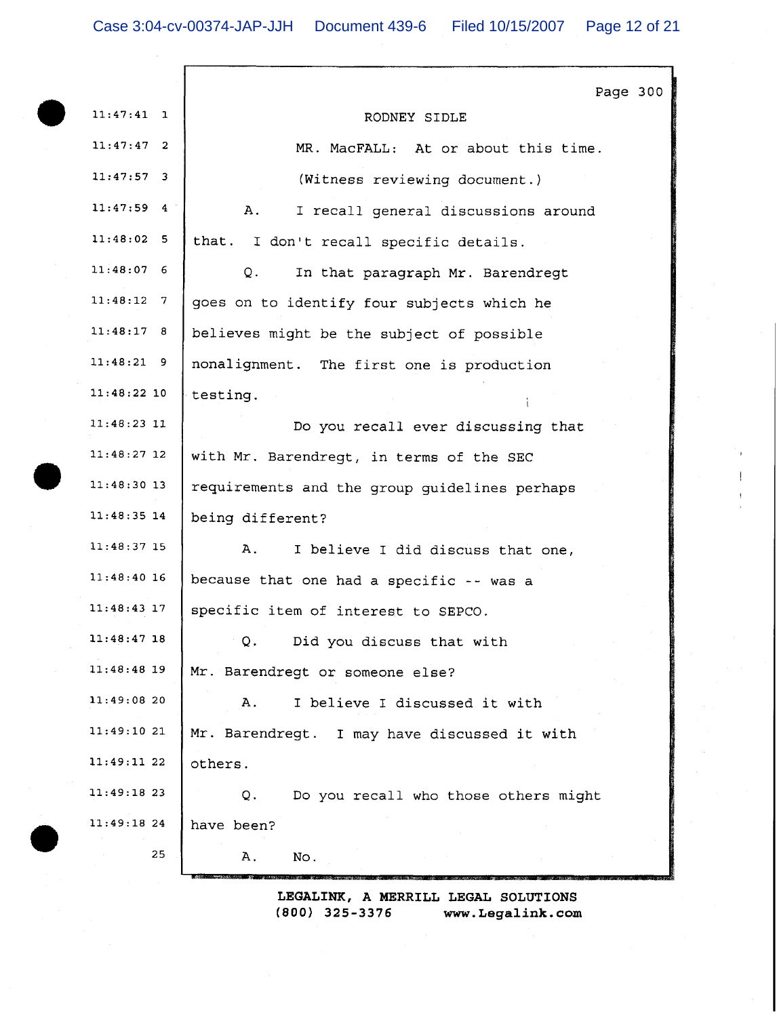$\Gamma$ 

|               | Page 300                                      |
|---------------|-----------------------------------------------|
| $11:47:41$ 1  | RODNEY SIDLE                                  |
| $11:47:47$ 2  | MR. MacFALL: At or about this time.           |
| $11:47:57$ 3  | (Witness reviewing document.)                 |
| $11:47:59$ 4  | Α.<br>I recall general discussions around     |
| $11:48:02$ 5  | that. I don't recall specific details.        |
| 11:48:076     | Q.<br>In that paragraph Mr. Barendregt        |
| $11:48:12$ 7  | goes on to identify four subjects which he    |
| 11:48:17 8    | believes might be the subject of possible     |
| $11:48:21$ 9  | nonalignment. The first one is production     |
| $11:48:22$ 10 | testing.                                      |
| $11:48:23$ 11 | Do you recall ever discussing that            |
| $11:48:27$ 12 | with Mr. Barendregt, in terms of the SEC      |
| $11:48:30$ 13 | requirements and the group guidelines perhaps |
| $11:48:35$ 14 | being different?                              |
| $11:48:37$ 15 | Α.<br>I believe I did discuss that one,       |
| $11:48:40$ 16 | because that one had a specific -- was a      |
| $11:48:43$ 17 | specific item of interest to SEPCO.           |
| $11:48:47$ 18 | Did you discuss that with<br>Q.               |
| $11:48:48$ 19 | Mr. Barendregt or someone else?               |
| 11:49:0820    | I believe I discussed it with<br>Α.           |
| 11:49:10 21   | Mr. Barendregt. I may have discussed it with  |
| $11:49:11$ 22 | others.                                       |
| 11:49:1823    | Do you recall who those others might<br>Q.    |
| 11:49:18 24   | have been?                                    |
| 25            | No.<br>Α.                                     |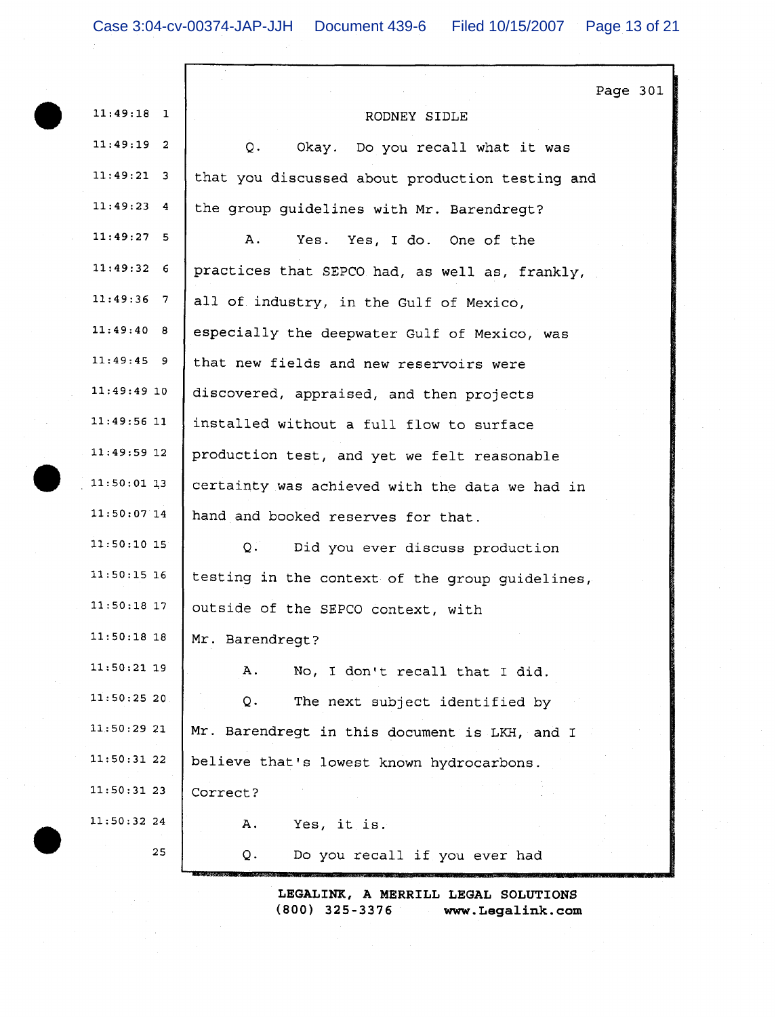|               | Page 301                                        |  |
|---------------|-------------------------------------------------|--|
| $11:49:18$ 1  | RODNEY SIDLE                                    |  |
| $11:49:19$ 2  | Q.<br>Okay. Do you recall what it was           |  |
| $11:49:21$ 3  | that you discussed about production testing and |  |
| $11:49:23$ 4  | the group guidelines with Mr. Barendregt?       |  |
| 11:49:27:5    | Α.<br>Yes. Yes, I do. One of the                |  |
| 11:49:326     | practices that SEPCO had, as well as, frankly,  |  |
| $11:49:36$ 7  | all of industry, in the Gulf of Mexico,         |  |
| 11:49:40 8    | especially the deepwater Gulf of Mexico, was    |  |
| $11:49:45$ 9  | that new fields and new reservoirs were         |  |
| $11:49:49$ 10 | discovered, appraised, and then projects        |  |
| $11:49:56$ 11 | installed without a full flow to surface        |  |
| $11:49:59$ 12 | production test, and yet we felt reasonable     |  |
| $11:50:01$ 13 | certainty was achieved with the data we had in  |  |
| $11:50:07$ 14 | hand and booked reserves for that.              |  |
| $11:50:10$ 15 | $Q$ .<br>Did you ever discuss production        |  |
| $11:50:15$ 16 | testing in the context of the group guidelines, |  |
| $11:50:18$ 17 | outside of the SEPCO context, with              |  |
| $11:50:18$ 18 | Mr. Barendregt?                                 |  |
| 11:50:21 19   | Α.<br>No, I don't recall that I did.            |  |
| $11:50:25$ 20 | The next subject identified by<br>Q.            |  |
| 11:50:2921    | Mr. Barendregt in this document is LKH, and I   |  |
| 11:50:31 22   | believe that's lowest known hydrocarbons.       |  |
| $11:50:31$ 23 | Correct?                                        |  |
| 11:50:32 24   | Yes, it is.<br>Α.                               |  |
| 25            | Q.<br>Do you recall if you ever had             |  |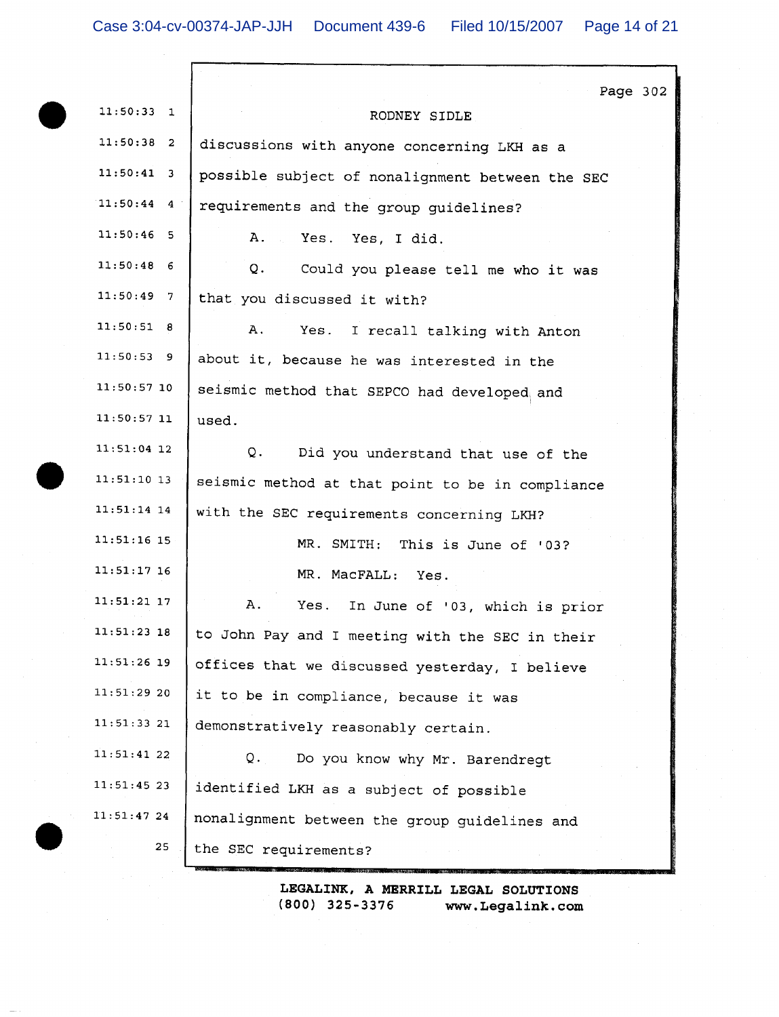|               | Page 302                                         |
|---------------|--------------------------------------------------|
| $11:50:33$ 1  | RODNEY SIDLE                                     |
| $11:50:38$ 2  | discussions with anyone concerning LKH as a      |
| $11:50:41$ 3  | possible subject of nonalignment between the SEC |
| $11:50:44$ 4  | requirements and the group guidelines?           |
| $11:50:46$ 5  | A. Yes. Yes, I did.                              |
| $11:50:48$ 6  | Q.<br>Could you please tell me who it was        |
| $11:50:49$ 7  | that you discussed it with?                      |
| 11:50:51 8    | Α.<br>Yes. I recall talking with Anton           |
| $11:50:53$ 9  | about it, because he was interested in the       |
| $11:50:57$ 10 | seismic method that SEPCO had developed and      |
| $11:50:57$ 11 | used.                                            |
| $11:51:04$ 12 | Q.<br>Did you understand that use of the         |
| $11:51:10$ 13 | seismic method at that point to be in compliance |
| $11:51:14$ 14 | with the SEC requirements concerning LKH?        |
| $11:51:16$ 15 | MR. SMITH:<br>This is June of '03?               |
| $11:51:17$ 16 | MR. MacFALL: Yes.                                |
| $11:51:21$ 17 | Α.<br>Yes.<br>In June of '03, which is prior     |
| $11:51:23$ 18 | to John Pay and I meeting with the SEC in their  |
| $11:51:26$ 19 | offices that we discussed yesterday, I believe   |
| 11:51:2920    | it to be in compliance, because it was           |
| 11:51:3321    | demonstratively reasonably certain.              |
| $11:51:41$ 22 | Q.<br>Do you know why Mr. Barendregt             |
| $11:51:45$ 23 | identified LKH as a subject of possible          |
| $11:51:47$ 24 | nonalignment between the group guidelines and    |
| 25            | the SEC requirements?                            |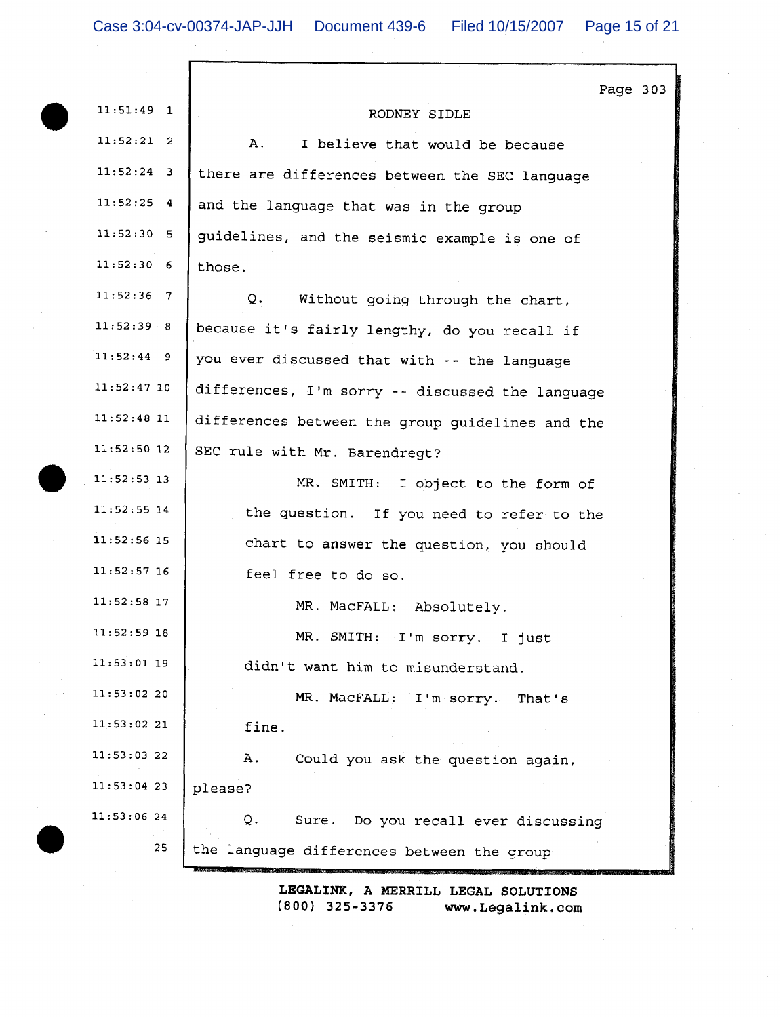| $11:51:49$ 1  | Page 303<br>RODNEY SIDLE                         |  |
|---------------|--------------------------------------------------|--|
| $11:52:21$ 2  | Α.<br>I believe that would be because            |  |
| $11:52:24$ 3  | there are differences between the SEC language   |  |
| $11:52:25$ 4  | and the language that was in the group           |  |
| 11:52:30 5    | guidelines, and the seismic example is one of    |  |
| $11:52:30$ 6  | those.                                           |  |
| $11:52:36$ 7  | Q.<br>Without going through the chart,           |  |
| 11:52:39 8    | because it's fairly lengthy, do you recall if    |  |
| $11:52:44$ 9  | you ever discussed that with -- the language     |  |
| $11:52:47$ 10 | differences, I'm sorry -- discussed the language |  |
| $11:52:48$ 11 | differences between the group guidelines and the |  |
| $11:52:50$ 12 | SEC rule with Mr. Barendregt?                    |  |
| $11:52:53$ 13 | MR. SMITH: I object to the form of               |  |
| $11:52:55$ 14 | the question. If you need to refer to the        |  |
| $11:52:56$ 15 | chart to answer the question, you should         |  |
| $11:52:57$ 16 | feel free to do so.                              |  |
| $11:52:58$ 17 | MR. MacFALL: Absolutely.                         |  |
| $11:52:59$ 18 | MR. SMITH: I'm sorry. I just                     |  |
| $11:53:01$ 19 | didn't want him to misunderstand.                |  |
| 11:53:0220    | MR. MacFALL: I'm sorry. That's                   |  |
| 11:53:0221    | fine.                                            |  |
| $11:53:03$ 22 | Α.<br>Could you ask the question again,          |  |
| $11:53:04$ 23 | please?                                          |  |
| 11:53:0624    | Q.<br>Sure. Do you recall ever discussing        |  |
| 25            | the language differences between the group       |  |
|               |                                                  |  |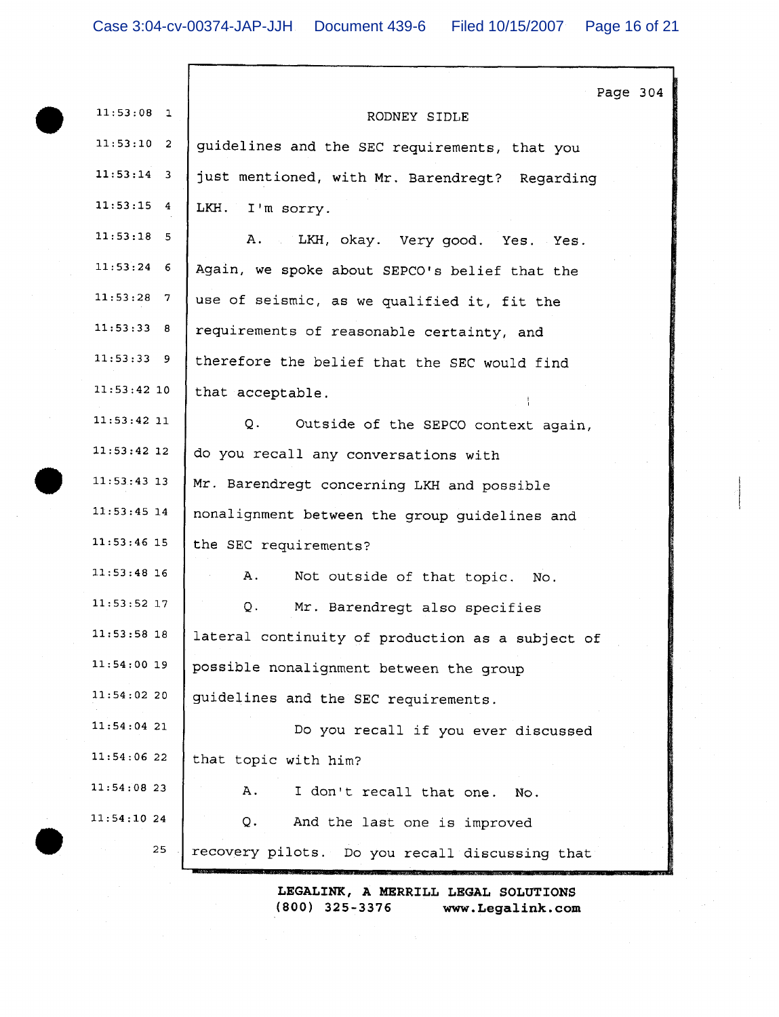|               | Page 304                                         |
|---------------|--------------------------------------------------|
| $11:53:08$ 1  | RODNEY SIDLE                                     |
| $11:53:10$ 2  | guidelines and the SEC requirements, that you    |
| $11:53:14$ 3  | just mentioned, with Mr. Barendregt? Regarding   |
| $11:53:15$ 4  | LKH. I'm sorry.                                  |
| $11:53:18$ 5  | A. LKH, okay. Very good. Yes. Yes.               |
| $11:53:24$ 6  | Again, we spoke about SEPCO's belief that the    |
| $11:53:28$ 7  | use of seismic, as we qualified it, fit the      |
| 11:53:33 8    | requirements of reasonable certainty, and        |
| 11:53:339     | therefore the belief that the SEC would find     |
| $11:53:42$ 10 | that acceptable.                                 |
| $11:53:42$ 11 | Q.<br>Outside of the SEPCO context again,        |
| $11:53:42$ 12 | do you recall any conversations with             |
| $11:53:43$ 13 | Mr. Barendregt concerning LKH and possible       |
| $11:53:45$ 14 | nonalignment between the group guidelines and    |
| $11:53:46$ 15 | the SEC requirements?                            |
| $11:53:48$ 16 | Α.<br>Not outside of that topic. No.             |
| $11:53:52$ 17 | Q.<br>Mr. Barendregt also specifies              |
| $11:53:58$ 18 | lateral continuity of production as a subject of |
| $11:54:00$ 19 | possible nonalignment between the group          |
| 11:54:0220    | guidelines and the SEC requirements.             |
| $11:54:04$ 21 | Do you recall if you ever discussed              |
| 11:54:0622    | that topic with him?                             |
| 11:54:08 23   | Α.<br>I don't recall that one.<br>No.            |
| 11:54:1024    | Q.<br>And the last one is improved               |
| 25            | recovery pilots. Do you recall discussing that   |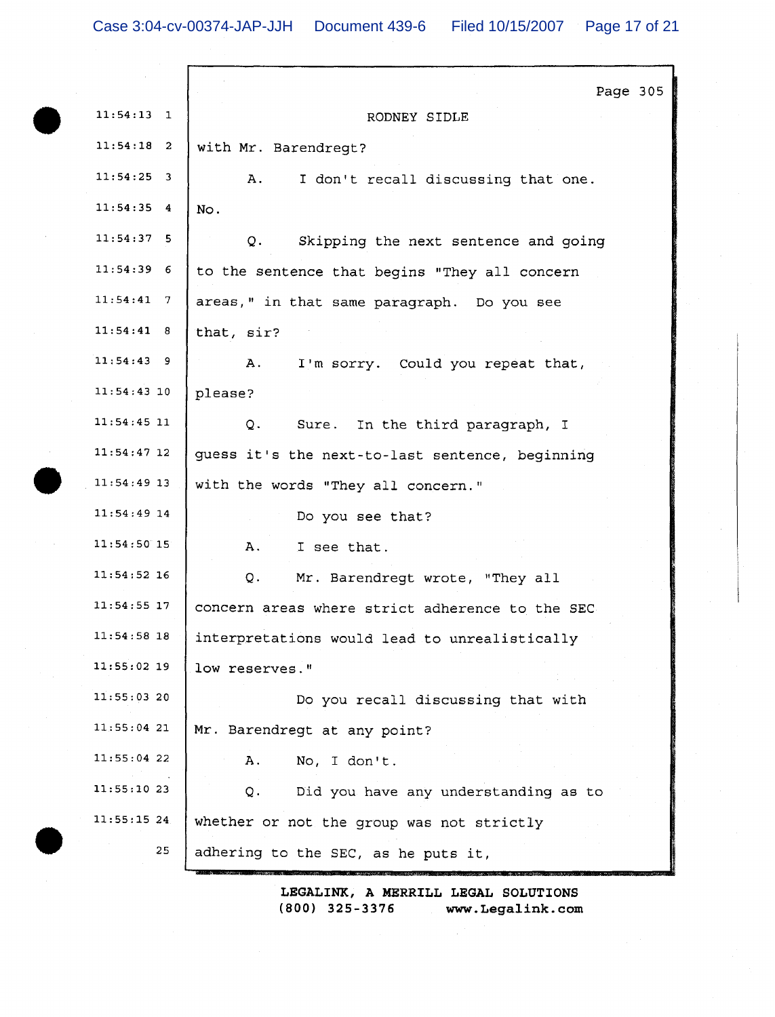|                      | Page 305                                            |
|----------------------|-----------------------------------------------------|
| $11:54:13$ 1         | RODNEY SIDLE                                        |
| $11:54:18$ 2         | with Mr. Barendregt?                                |
| $11:54:25$ 3         | A.<br>I don't recall discussing that one.           |
| $11:54:35$ 4         | No.                                                 |
| $11:54:37$ 5         | $Q_{\star}$<br>Skipping the next sentence and going |
| $11:54:39$ 6         | to the sentence that begins "They all concern       |
| $11:54:41$ 7         | areas, " in that same paragraph. Do you see         |
| 11:54:41 8           | that, sir?                                          |
| $11:54:43$ 9         | I'm sorry. Could you repeat that,<br>A.             |
| $11:54:43$ 10        | please?                                             |
| $11:54:45$ 11        | Q. Sure. In the third paragraph, I                  |
| $11:54:47$ 12        | guess it's the next-to-last sentence, beginning     |
| $11:54:49$ 13        | with the words "They all concern."                  |
| $11:54:49$ 14        | Do you see that?                                    |
| $11:54:50^{\circ}15$ | I see that.<br>Α.                                   |
| $11:54:52$ 16        | Mr. Barendregt wrote, "They all<br>Q.               |
| 11:54:55 17          | concern areas where strict adherence to the SEC     |
| $11:54:58$ 18        | interpretations would lead to unrealistically       |
| $11:55:02$ 19        | low reserves."                                      |
| 11:55:03 20          | Do you recall discussing that with                  |
| $11:55:04$ 21        | Mr. Barendregt at any point?                        |
| $11:55:04$ 22        | No, I don't.<br>Α.                                  |
| 11:55:1023           | Did you have any understanding as to<br>Q.          |
| $11:55:15$ 24        | whether or not the group was not strictly           |
| 25                   | adhering to the SEC, as he puts it,                 |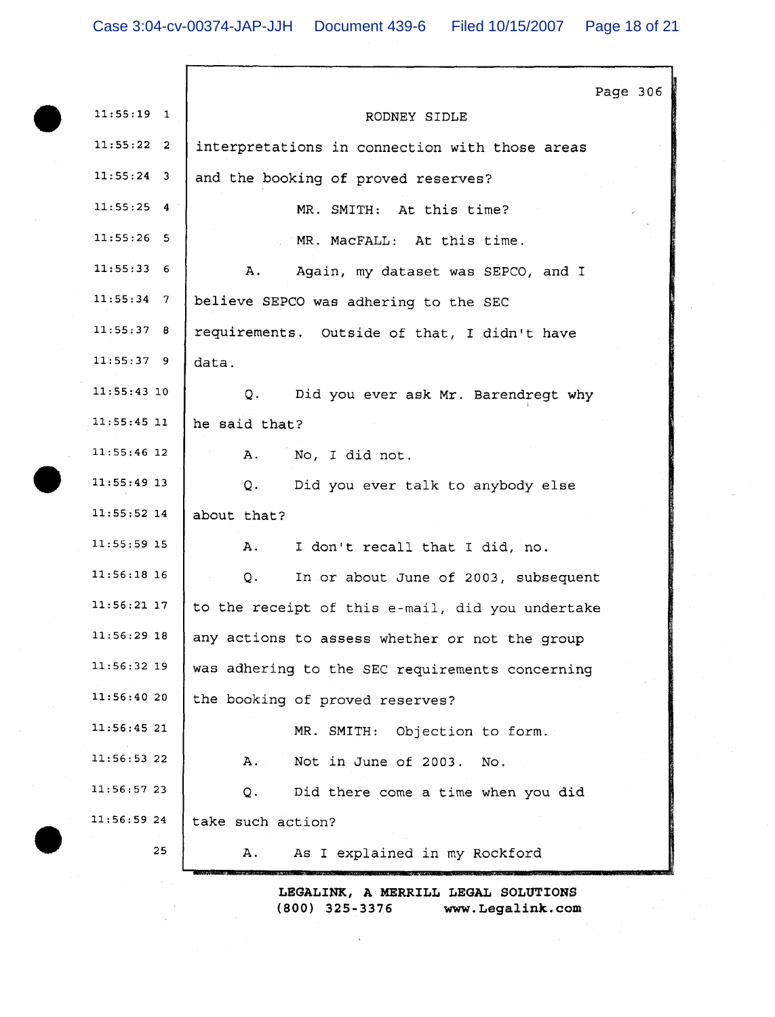$\Gamma$ 

|               | Page 306                                         |  |
|---------------|--------------------------------------------------|--|
| $11:55:19$ 1  | RODNEY SIDLE                                     |  |
| $11:55:22$ 2  | interpretations in connection with those areas   |  |
| $11:55:24$ 3  | and the booking of proved reserves?              |  |
| $11:55:25$ 4  | MR. SMITH: At this time?                         |  |
| $11:55:26$ 5  | MR. MacFALL: At this time.                       |  |
| 11:55:336     | Α.<br>Again, my dataset was SEPCO, and I         |  |
| $11:55:34$ 7  | believe SEPCO was adhering to the SEC            |  |
| 11:55:37 8    | requirements. Outside of that, I didn't have     |  |
| $11:55:37$ 9  | data.                                            |  |
| $11:55:43$ 10 | Did you ever ask Mr. Barendregt why<br>Q.        |  |
| $11:55:45$ 11 | he said that?                                    |  |
| $11:55:46$ 12 | Α.<br>No, I did not.                             |  |
| $11:55:49$ 13 | Did you ever talk to anybody else<br>Q.          |  |
| $11:55:52$ 14 | about that?                                      |  |
| 11:55:59 15   | I don't recall that I did, no.<br>Α.             |  |
| $11:56:18$ 16 | Q.<br>In or about June of 2003, subsequent       |  |
| $11:56:21$ 17 | to the receipt of this e-mail, did you undertake |  |
| $11:56:29$ 18 | any actions to assess whether or not the group   |  |
| 11:56:32 19   | was adhering to the SEC requirements concerning  |  |
| 11:56:40 20   | the booking of proved reserves?                  |  |
| 11:56:45 21   | Objection to form.<br>MR. SMITH:                 |  |
| 11:56:5322    | Not in June of 2003.<br>$A \cdot$<br>No.         |  |
| 11:56:57 23   | Did there come a time when you did<br>Q.         |  |
| 11:56:59 24   | take such action?                                |  |
| 25            | As I explained in my Rockford<br>Α.              |  |
|               |                                                  |  |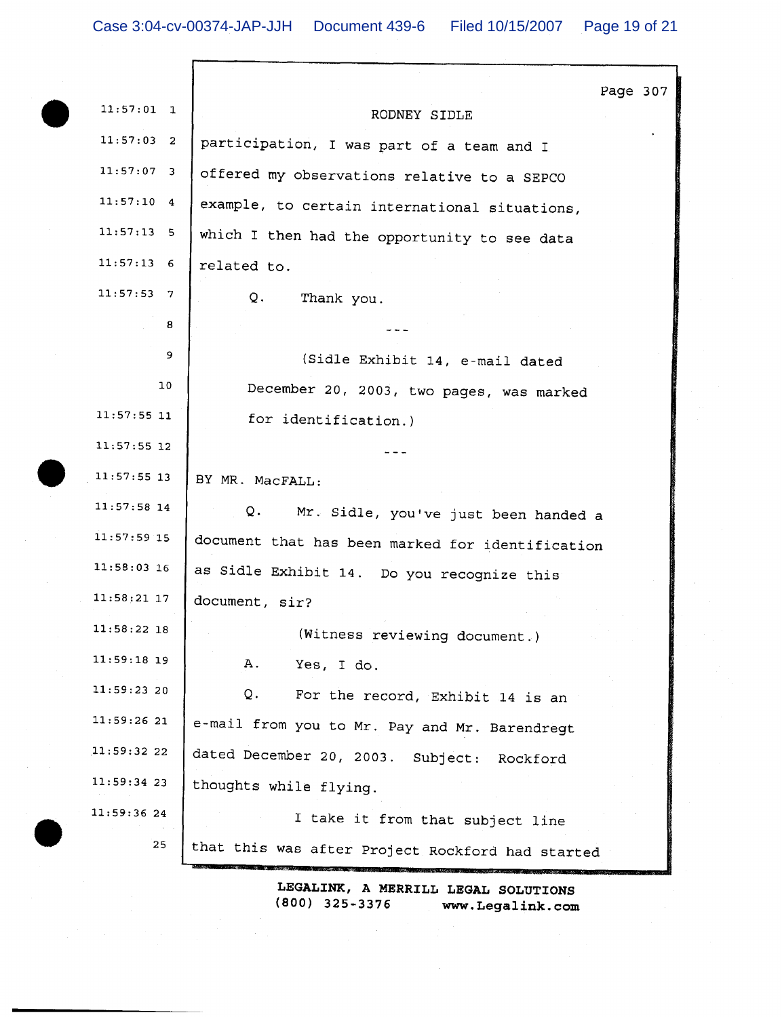| $11:57:01$ 1  | Page 307<br>RODNEY SIDLE                         |
|---------------|--------------------------------------------------|
| $11:57:03$ 2  | participation, I was part of a team and I        |
| $11:57:07$ 3  | offered my observations relative to a SEPCO      |
| $11:57:10$ 4  | example, to certain international situations,    |
| 11:57:13:5    | which I then had the opportunity to see data     |
| $11:57:13$ 6  | related to.                                      |
| 11:57:53 7    | Q.<br>Thank you.                                 |
| 8             |                                                  |
| 9             | (Sidle Exhibit 14, e-mail dated                  |
| 10            | December 20, 2003, two pages, was marked         |
| 11:57:55 11   | for identification.)                             |
| $11:57:55$ 12 |                                                  |
| $11:57:55$ 13 | BY MR. MacFALL:                                  |
| $11:57:58$ 14 | Q.<br>Mr. Sidle, you've just been handed a       |
| $11:57:59$ 15 | document that has been marked for identification |
| $11:58:03$ 16 | as Sidle Exhibit 14. Do you recognize this       |
| $11:58:21$ 17 | document, sir?                                   |
| $11:58:22$ 18 | (Witness reviewing document.)                    |
| $11:59:18$ 19 | Α.<br>Yes, I do.                                 |
| 11:59:23 20   | Q.<br>For the record, Exhibit 14 is an           |
| 11:59:26 21   | e-mail from you to Mr. Pay and Mr. Barendregt    |
| 11:59:32 22   | dated December 20, 2003. Subject: Rockford       |
| $11:59:34$ 23 | thoughts while flying.                           |
| 11:59:36 24   | I take it from that subject line                 |
| 25            | that this was after Project Rockford had started |
|               |                                                  |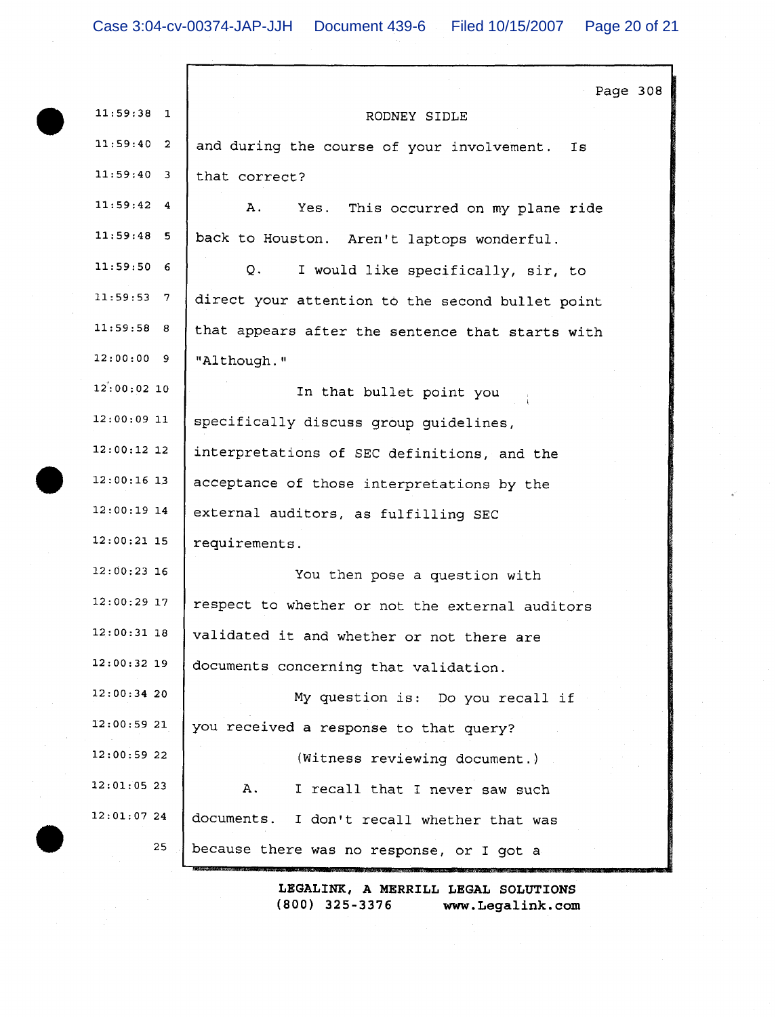|               | Page 308                                         |
|---------------|--------------------------------------------------|
| $11:59:38$ 1  | RODNEY SIDLE                                     |
| 11:59:40 2    | and during the course of your involvement.<br>Is |
| $11:59:40$ 3  | that correct?                                    |
| $11:59:42$ 4  | Α.<br>Yes. This occurred on my plane ride        |
| $11:59:48$ 5  | back to Houston. Aren't laptops wonderful.       |
| 11:59:506     | I would like specifically, sir, to<br>Q.         |
| $11:59:53$ 7  | direct your attention to the second bullet point |
| 11:59:58 8    | that appears after the sentence that starts with |
| 12:00:009     | "Although."                                      |
| $12:00:02$ 10 | In that bullet point you                         |
| $12:00:09$ 11 | specifically discuss group guidelines,           |
| $12:00:12$ 12 | interpretations of SEC definitions, and the      |
| $12:00:16$ 13 | acceptance of those interpretations by the       |
| $12:00:19$ 14 | external auditors, as fulfilling SEC             |
| $12:00:21$ 15 | requirements.                                    |
| $12:00:23$ 16 | You then pose a question with                    |
| $12:00:29$ 17 | respect to whether or not the external auditors  |
| $12:00:31$ 18 | validated it and whether or not there are        |
| $12:00:32$ 19 | documents concerning that validation.            |
| 12:00:34 20   | My question is: Do you recall if                 |
| 12:00:5921    | you received a response to that query?           |
| 12:00:5922    | (Witness reviewing document.)                    |
| $12:01:05$ 23 | Α.<br>I recall that I never saw such             |
| 12:01:0724    | documents. I don't recall whether that was       |
| 25            | because there was no response, or I got a        |
|               |                                                  |